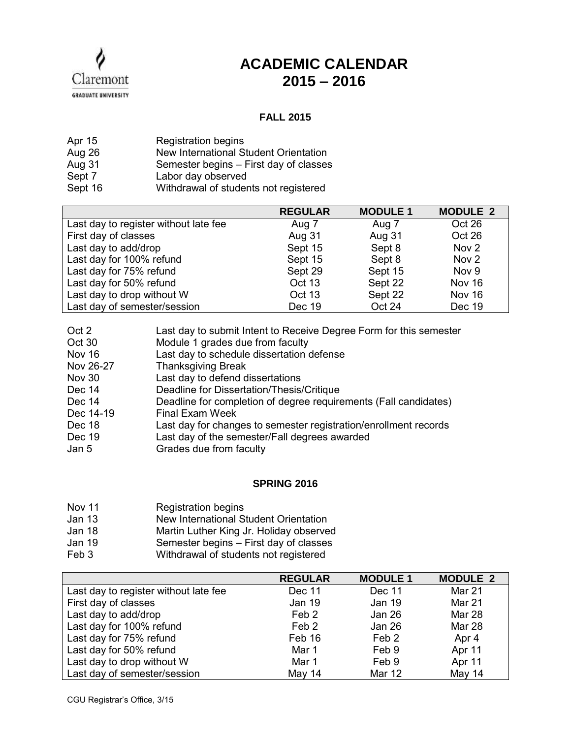

## **ACADEMIC CALENDAR 2015 – 2016**

## **FALL 2015**

| Apr 15  | <b>Registration begins</b>             |
|---------|----------------------------------------|
| Aug 26  | New International Student Orientation  |
| Aug 31  | Semester begins – First day of classes |
| Sept 7  | Labor day observed                     |
| Sept 16 | Withdrawal of students not registered  |

|                                       | <b>REGULAR</b> | <b>MODULE 1</b> | <b>MODULE 2</b>  |
|---------------------------------------|----------------|-----------------|------------------|
| Last day to register without late fee | Aug 7          | Aug 7           | Oct 26           |
| First day of classes                  | Aug 31         | Aug 31          | Oct 26           |
| Last day to add/drop                  | Sept 15        | Sept 8          | Nov <sub>2</sub> |
| Last day for 100% refund              | Sept 15        | Sept 8          | Nov <sub>2</sub> |
| Last day for 75% refund               | Sept 29        | Sept 15         | Nov 9            |
| Last day for 50% refund               | Oct 13         | Sept 22         | <b>Nov 16</b>    |
| Last day to drop without W            | Oct 13         | Sept 22         | <b>Nov 16</b>    |
| Last day of semester/session          | Dec 19         | Oct 24          | Dec 19           |

| Last day to submit Intent to Receive Degree Form for this semester |
|--------------------------------------------------------------------|
| Module 1 grades due from faculty                                   |
| Last day to schedule dissertation defense                          |
| <b>Thanksgiving Break</b>                                          |
| Last day to defend dissertations                                   |
| Deadline for Dissertation/Thesis/Critique                          |
| Deadline for completion of degree requirements (Fall candidates)   |
| <b>Final Exam Week</b>                                             |
| Last day for changes to semester registration/enrollment records   |
| Last day of the semester/Fall degrees awarded                      |
| Grades due from faculty                                            |
|                                                                    |

## **SPRING 2016**

- Nov 11 Registration begins
- Jan 13 New International Student Orientation
- Jan 18 Martin Luther King Jr. Holiday observed
- Jan 19 Semester begins – First day of classes
- Feb 3 Withdrawal of students not registered

|                                       | <b>REGULAR</b>   | <b>MODULE 1</b>  | <b>MODULE 2</b> |
|---------------------------------------|------------------|------------------|-----------------|
| Last day to register without late fee | Dec 11           | Dec 11           | Mar 21          |
| First day of classes                  | Jan 19           | Jan 19           | Mar 21          |
| Last day to add/drop                  | Feb <sub>2</sub> | Jan 26           | <b>Mar 28</b>   |
| Last day for 100% refund              | Feb 2            | Jan 26           | Mar 28          |
| Last day for 75% refund               | Feb 16           | Feb <sub>2</sub> | Apr 4           |
| Last day for 50% refund               | Mar 1            | Feb 9            | Apr 11          |
| Last day to drop without W            | Mar 1            | Feb 9            | Apr 11          |
| Last day of semester/session          | <b>May 14</b>    | <b>Mar 12</b>    | May 14          |